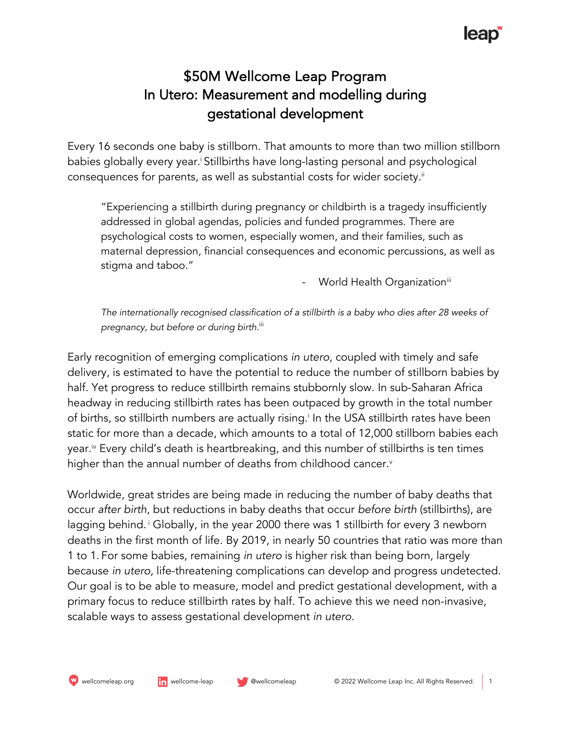## lleab

### \$50M Wellcome Leap Program In Utero: Measurement and modelling during gestational development

Every 16 seconds one baby is stillborn. That amounts to more than two million stillborn babies globally every year.<sup>i</sup> Stillbirths have long-lasting personal and psychological consequences for parents, as well as substantial costs for wider society. $^{\text{ii}}$ 

"Experiencing a stillbirth during pregnancy or childbirth is a tragedy insufficiently addressed in global agendas, policies and funded programmes. There are psychological costs to women, especially women, and their families, such as maternal depression, financial consequences and economic percussions, as well as stigma and taboo."

World Health Organization<sup>iii</sup>

The internationally recognised classification of a stillbirth is a baby who dies after 28 weeks of *pregnancy, but before or during birth.*iii

Early recognition of emerging complications *in utero*, coupled with timely and safe delivery, is estimated to have the potential to reduce the number of stillborn babies by half. Yet progress to reduce stillbirth remains stubbornly slow. In sub-Saharan Africa headway in reducing stillbirth rates has been outpaced by growth in the total number of births, so stillbirth numbers are actually rising. In the USA stillbirth rates have been static for more than a decade, which amounts to a total of 12,000 stillborn babies each year. iv Every child's death is heartbreaking, and this number of stillbirths is ten times higher than the annual number of deaths from childhood cancer.<sup>v</sup>

Worldwide, great strides are being made in reducing the number of baby deaths that occur *after birth*, but reductions in baby deaths that occur *before birth* (stillbirths), are lagging behind.<sup>1</sup> Globally, in the year 2000 there was 1 stillbirth for every 3 newborn deaths in the first month of life. By 2019, in nearly 50 countries that ratio was more than 1 to 1. For some babies, remaining *in utero* is higher risk than being born, largely because *in utero,* life-threatening complications can develop and progress undetected. Our goal is to be able to measure, model and predict gestational development, with a primary focus to reduce stillbirth rates by half. To achieve this we need non-invasive, scalable ways to assess gestational development *in utero*.

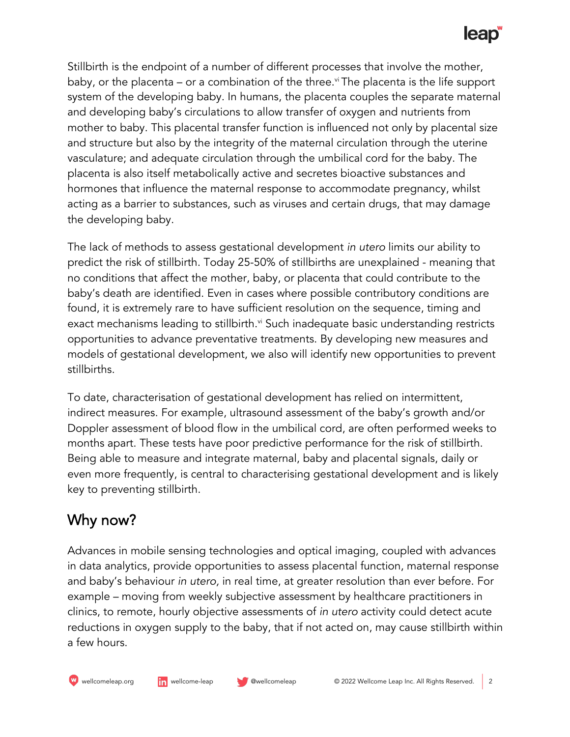# leap<sup>®</sup>

Stillbirth is the endpoint of a number of different processes that involve the mother, baby, or the placenta – or a combination of the three.<sup>v</sup>i The placenta is the life support system of the developing baby. In humans, the placenta couples the separate maternal and developing baby's circulations to allow transfer of oxygen and nutrients from mother to baby. This placental transfer function is influenced not only by placental size and structure but also by the integrity of the maternal circulation through the uterine vasculature; and adequate circulation through the umbilical cord for the baby. The placenta is also itself metabolically active and secretes bioactive substances and hormones that influence the maternal response to accommodate pregnancy, whilst acting as a barrier to substances, such as viruses and certain drugs, that may damage the developing baby.

The lack of methods to assess gestational development *in utero* limits our ability to predict the risk of stillbirth. Today 25-50% of stillbirths are unexplained - meaning that no conditions that affect the mother, baby, or placenta that could contribute to the baby's death are identified. Even in cases where possible contributory conditions are found, it is extremely rare to have sufficient resolution on the sequence, timing and exact mechanisms leading to stillbirth.<sup>vi</sup> Such inadequate basic understanding restricts opportunities to advance preventative treatments. By developing new measures and models of gestational development, we also will identify new opportunities to prevent stillbirths.

To date, characterisation of gestational development has relied on intermittent, indirect measures. For example, ultrasound assessment of the baby's growth and/or Doppler assessment of blood flow in the umbilical cord, are often performed weeks to months apart. These tests have poor predictive performance for the risk of stillbirth. Being able to measure and integrate maternal, baby and placental signals, daily or even more frequently, is central to characterising gestational development and is likely key to preventing stillbirth.

### Why now?

Advances in mobile sensing technologies and optical imaging, coupled with advances in data analytics, provide opportunities to assess placental function, maternal response and baby's behaviour *in utero,* in real time, at greater resolution than ever before. For example – moving from weekly subjective assessment by healthcare practitioners in clinics, to remote, hourly objective assessments of *in utero* activity could detect acute reductions in oxygen supply to the baby, that if not acted on, may cause stillbirth within a few hours.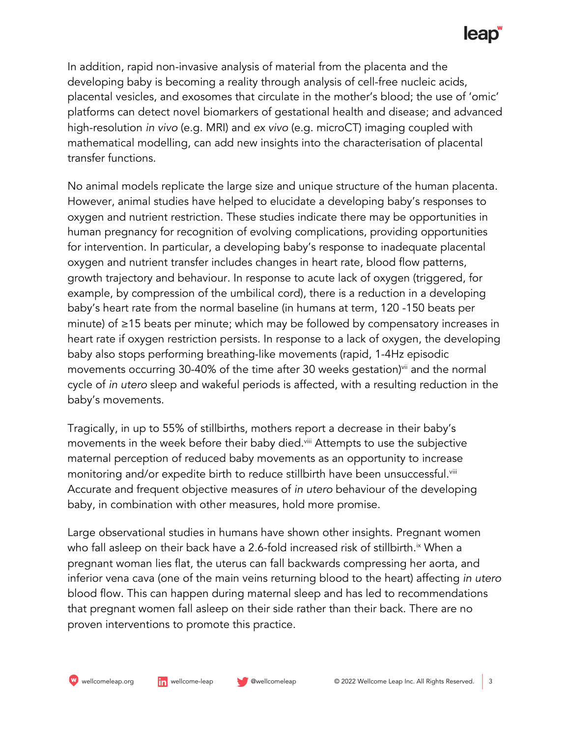## **leap**

In addition, rapid non-invasive analysis of material from the placenta and the developing baby is becoming a reality through analysis of cell-free nucleic acids, placental vesicles, and exosomes that circulate in the mother's blood; the use of 'omic' platforms can detect novel biomarkers of gestational health and disease; and advanced high-resolution *in vivo* (e.g. MRI) and *ex vivo* (e.g. microCT) imaging coupled with mathematical modelling, can add new insights into the characterisation of placental transfer functions.

No animal models replicate the large size and unique structure of the human placenta. However, animal studies have helped to elucidate a developing baby's responses to oxygen and nutrient restriction. These studies indicate there may be opportunities in human pregnancy for recognition of evolving complications, providing opportunities for intervention. In particular, a developing baby's response to inadequate placental oxygen and nutrient transfer includes changes in heart rate, blood flow patterns, growth trajectory and behaviour. In response to acute lack of oxygen (triggered, for example, by compression of the umbilical cord), there is a reduction in a developing baby's heart rate from the normal baseline (in humans at term, 120 -150 beats per minute) of ≥15 beats per minute; which may be followed by compensatory increases in heart rate if oxygen restriction persists. In response to a lack of oxygen, the developing baby also stops performing breathing-like movements (rapid, 1-4Hz episodic movements occurring 30-40% of the time after 30 weeks gestation)<sup>vii</sup> and the normal cycle of *in utero* sleep and wakeful periods is affected, with a resulting reduction in the baby's movements.

Tragically, in up to 55% of stillbirths, mothers report a decrease in their baby's movements in the week before their baby died.<sup>viii</sup> Attempts to use the subjective maternal perception of reduced baby movements as an opportunity to increase monitoring and/or expedite birth to reduce stillbirth have been unsuccessful.<sup>viii</sup> Accurate and frequent objective measures of *in utero* behaviour of the developing baby, in combination with other measures, hold more promise.

Large observational studies in humans have shown other insights. Pregnant women who fall asleep on their back have a 2.6-fold increased risk of stillbirth.<sup>ix</sup> When a pregnant woman lies flat, the uterus can fall backwards compressing her aorta, and inferior vena cava (one of the main veins returning blood to the heart) affecting *in utero* blood flow. This can happen during maternal sleep and has led to recommendations that pregnant women fall asleep on their side rather than their back. There are no proven interventions to promote this practice.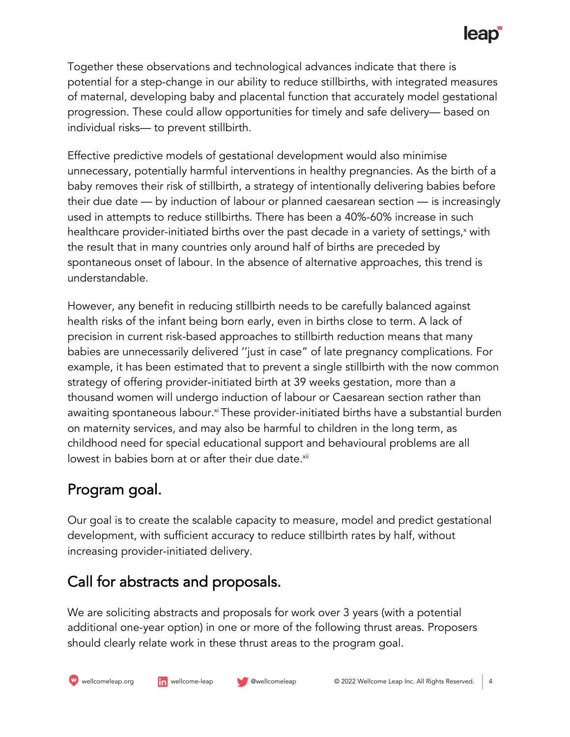# **leap**

Together these observations and technological advances indicate that there is potential for a step-change in our ability to reduce stillbirths, with integrated measures of maternal, developing baby and placental function that accurately model gestational progression. These could allow opportunities for timely and safe delivery— based on individual risks— to prevent stillbirth.

Effective predictive models of gestational development would also minimise unnecessary, potentially harmful interventions in healthy pregnancies. As the birth of a baby removes their risk of stillbirth, a strategy of intentionally delivering babies before their due date — by induction of labour or planned caesarean section — is increasingly used in attempts to reduce stillbirths. There has been a 40%-60% increase in such healthcare provider-initiated births over the past decade in a variety of settings,<sup>x</sup> with the result that in many countries only around half of births are preceded by spontaneous onset of labour. In the absence of alternative approaches, this trend is understandable.

However, any benefit in reducing stillbirth needs to be carefully balanced against health risks of the infant being born early, even in births close to term. A lack of precision in current risk-based approaches to stillbirth reduction means that many babies are unnecessarily delivered ''just in case" of late pregnancy complications. For example, it has been estimated that to prevent a single stillbirth with the now common strategy of offering provider-initiated birth at 39 weeks gestation, more than a thousand women will undergo induction of labour or Caesarean section rather than awaiting spontaneous labour.<sup>xi</sup> These provider-initiated births have a substantial burden on maternity services, and may also be harmful to children in the long term, as childhood need for special educational support and behavioural problems are all lowest in babies born at or after their due date.<sup>xii</sup>

## Program goal.

Our goal is to create the scalable capacity to measure, model and predict gestational development, with sufficient accuracy to reduce stillbirth rates by half, without increasing provider-initiated delivery.

## Call for abstracts and proposals.

We are soliciting abstracts and proposals for work over 3 years (with a potential additional one-year option) in one or more of the following thrust areas. Proposers should clearly relate work in these thrust areas to the program goal.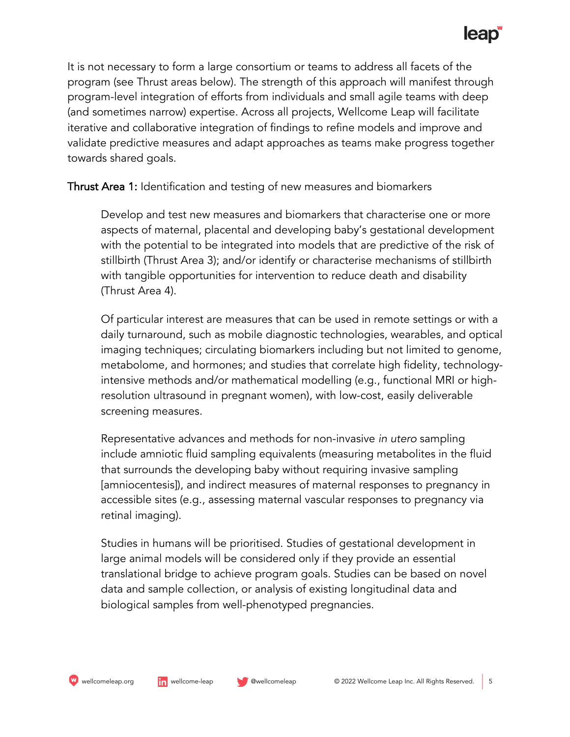It is not necessary to form a large consortium or teams to address all facets of the program (see Thrust areas below). The strength of this approach will manifest through program-level integration of efforts from individuals and small agile teams with deep (and sometimes narrow) expertise. Across all projects, Wellcome Leap will facilitate iterative and collaborative integration of findings to refine models and improve and validate predictive measures and adapt approaches as teams make progress together towards shared goals.

Thrust Area 1: Identification and testing of new measures and biomarkers

Develop and test new measures and biomarkers that characterise one or more aspects of maternal, placental and developing baby's gestational development with the potential to be integrated into models that are predictive of the risk of stillbirth (Thrust Area 3); and/or identify or characterise mechanisms of stillbirth with tangible opportunities for intervention to reduce death and disability (Thrust Area 4).

Of particular interest are measures that can be used in remote settings or with a daily turnaround, such as mobile diagnostic technologies, wearables, and optical imaging techniques; circulating biomarkers including but not limited to genome, metabolome, and hormones; and studies that correlate high fidelity, technologyintensive methods and/or mathematical modelling (e.g., functional MRI or highresolution ultrasound in pregnant women), with low-cost, easily deliverable screening measures.

Representative advances and methods for non-invasive *in utero* sampling include amniotic fluid sampling equivalents (measuring metabolites in the fluid that surrounds the developing baby without requiring invasive sampling [amniocentesis]), and indirect measures of maternal responses to pregnancy in accessible sites (e.g., assessing maternal vascular responses to pregnancy via retinal imaging).

Studies in humans will be prioritised. Studies of gestational development in large animal models will be considered only if they provide an essential translational bridge to achieve program goals. Studies can be based on novel data and sample collection, or analysis of existing longitudinal data and biological samples from well-phenotyped pregnancies.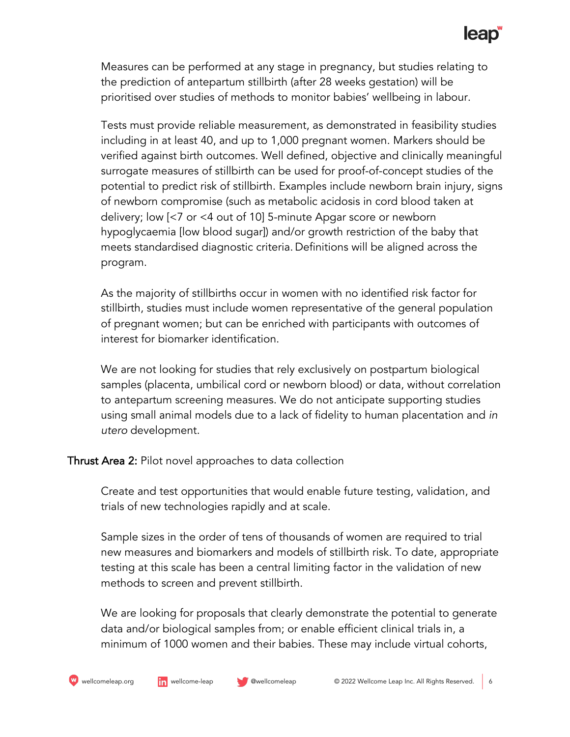## **leap**

Measures can be performed at any stage in pregnancy, but studies relating to the prediction of antepartum stillbirth (after 28 weeks gestation) will be prioritised over studies of methods to monitor babies' wellbeing in labour.

Tests must provide reliable measurement, as demonstrated in feasibility studies including in at least 40, and up to 1,000 pregnant women. Markers should be verified against birth outcomes. Well defined, objective and clinically meaningful surrogate measures of stillbirth can be used for proof-of-concept studies of the potential to predict risk of stillbirth. Examples include newborn brain injury, signs of newborn compromise (such as metabolic acidosis in cord blood taken at delivery; low [<7 or <4 out of 10] 5-minute Apgar score or newborn hypoglycaemia [low blood sugar]) and/or growth restriction of the baby that meets standardised diagnostic criteria. Definitions will be aligned across the program.

As the majority of stillbirths occur in women with no identified risk factor for stillbirth, studies must include women representative of the general population of pregnant women; but can be enriched with participants with outcomes of interest for biomarker identification.

We are not looking for studies that rely exclusively on postpartum biological samples (placenta, umbilical cord or newborn blood) or data, without correlation to antepartum screening measures. We do not anticipate supporting studies using small animal models due to a lack of fidelity to human placentation and *in utero* development.

Thrust Area 2: Pilot novel approaches to data collection

Create and test opportunities that would enable future testing, validation, and trials of new technologies rapidly and at scale.

Sample sizes in the order of tens of thousands of women are required to trial new measures and biomarkers and models of stillbirth risk. To date, appropriate testing at this scale has been a central limiting factor in the validation of new methods to screen and prevent stillbirth.

We are looking for proposals that clearly demonstrate the potential to generate data and/or biological samples from; or enable efficient clinical trials in, a minimum of 1000 women and their babies. These may include virtual cohorts,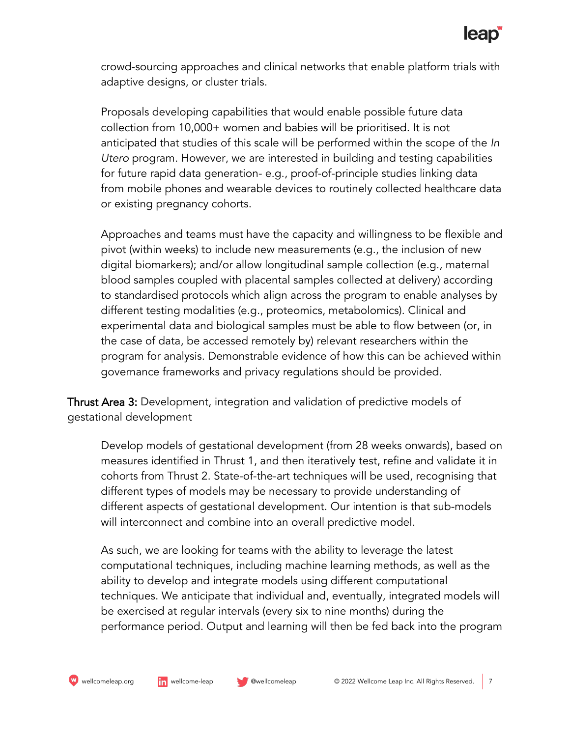crowd-sourcing approaches and clinical networks that enable platform trials with adaptive designs, or cluster trials.

Proposals developing capabilities that would enable possible future data collection from 10,000+ women and babies will be prioritised. It is not anticipated that studies of this scale will be performed within the scope of the *In Utero* program. However, we are interested in building and testing capabilities for future rapid data generation- e.g., proof-of-principle studies linking data from mobile phones and wearable devices to routinely collected healthcare data or existing pregnancy cohorts.

Approaches and teams must have the capacity and willingness to be flexible and pivot (within weeks) to include new measurements (e.g., the inclusion of new digital biomarkers); and/or allow longitudinal sample collection (e.g., maternal blood samples coupled with placental samples collected at delivery) according to standardised protocols which align across the program to enable analyses by different testing modalities (e.g., proteomics, metabolomics). Clinical and experimental data and biological samples must be able to flow between (or, in the case of data, be accessed remotely by) relevant researchers within the program for analysis. Demonstrable evidence of how this can be achieved within governance frameworks and privacy regulations should be provided.

Thrust Area 3: Development, integration and validation of predictive models of gestational development

Develop models of gestational development (from 28 weeks onwards), based on measures identified in Thrust 1, and then iteratively test, refine and validate it in cohorts from Thrust 2. State-of-the-art techniques will be used, recognising that different types of models may be necessary to provide understanding of different aspects of gestational development. Our intention is that sub-models will interconnect and combine into an overall predictive model.

As such, we are looking for teams with the ability to leverage the latest computational techniques, including machine learning methods, as well as the ability to develop and integrate models using different computational techniques. We anticipate that individual and, eventually, integrated models will be exercised at regular intervals (every six to nine months) during the performance period. Output and learning will then be fed back into the program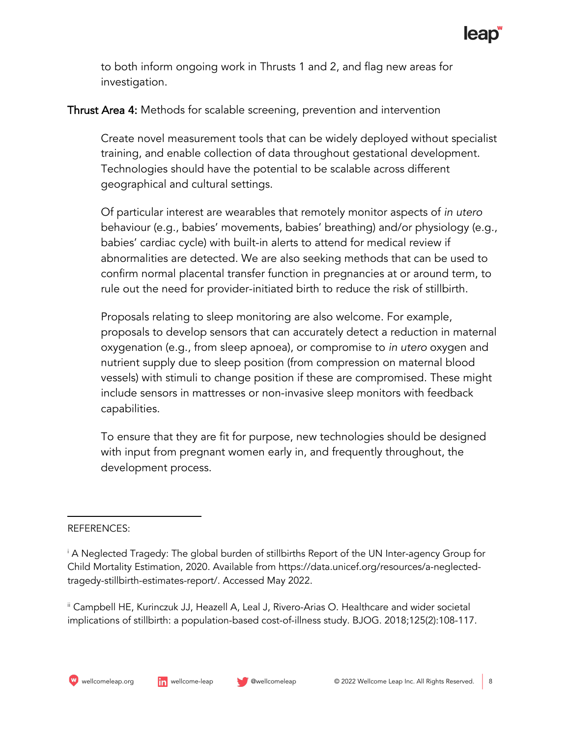to both inform ongoing work in Thrusts 1 and 2, and flag new areas for investigation.

#### Thrust Area 4: Methods for scalable screening, prevention and intervention

Create novel measurement tools that can be widely deployed without specialist training, and enable collection of data throughout gestational development. Technologies should have the potential to be scalable across different geographical and cultural settings.

Of particular interest are wearables that remotely monitor aspects of *in utero*  behaviour (e.g., babies' movements, babies' breathing) and/or physiology (e.g., babies' cardiac cycle) with built-in alerts to attend for medical review if abnormalities are detected. We are also seeking methods that can be used to confirm normal placental transfer function in pregnancies at or around term, to rule out the need for provider-initiated birth to reduce the risk of stillbirth.

Proposals relating to sleep monitoring are also welcome. For example, proposals to develop sensors that can accurately detect a reduction in maternal oxygenation (e.g., from sleep apnoea), or compromise to *in utero* oxygen and nutrient supply due to sleep position (from compression on maternal blood vessels) with stimuli to change position if these are compromised. These might include sensors in mattresses or non-invasive sleep monitors with feedback capabilities.

To ensure that they are fit for purpose, new technologies should be designed with input from pregnant women early in, and frequently throughout, the development process.

#### REFERENCES:

ii Campbell HE, Kurinczuk JJ, Heazell A, Leal J, Rivero-Arias O. Healthcare and wider societal implications of stillbirth: a population-based cost-of-illness study. BJOG. 2018;125(2):108-117.

<sup>i</sup> A Neglected Tragedy: The global burden of stillbirths Report of the UN Inter-agency Group for Child Mortality Estimation, 2020. Available from https://data.unicef.org/resources/a-neglectedtragedy-stillbirth-estimates-report/. Accessed May 2022.